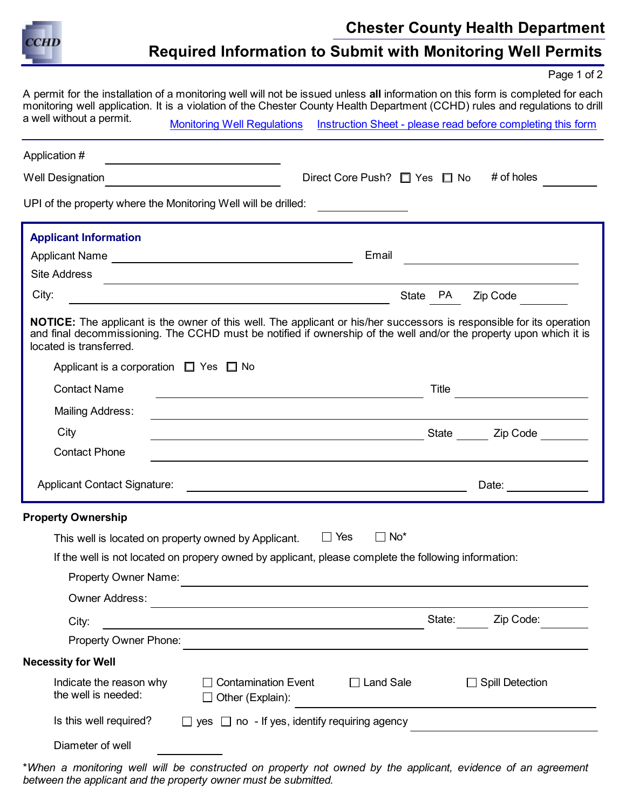

## Required Information to Submit with Monitoring Well Permits

Page 1 of 2

A permit for the installation of a monitoring well will not be issued unless all information on this form is completed for each monitoring well application. It is a violation of the Chester County Health Department (CCHD) rules and regulations to drill a well without a permit. [Monitoring Well Regulations](https://www.chesco.org/DocumentCenter/View/429/501) [Instruction Sheet - please read before completing this form](https://www.chesco.org/973/Instructions-for-Completing-the-Monitori)

| Application #                                                                                                                           |                                                                                                                                                                                                                                             |
|-----------------------------------------------------------------------------------------------------------------------------------------|---------------------------------------------------------------------------------------------------------------------------------------------------------------------------------------------------------------------------------------------|
| <b>Well Designation</b><br><u> 1980 - Jan James James Barbara, president e</u>                                                          | # of holes<br>Direct Core Push? $\Box$ Yes $\Box$ No                                                                                                                                                                                        |
| UPI of the property where the Monitoring Well will be drilled:                                                                          |                                                                                                                                                                                                                                             |
| <b>Applicant Information</b>                                                                                                            |                                                                                                                                                                                                                                             |
|                                                                                                                                         | Email                                                                                                                                                                                                                                       |
| <b>Site Address</b><br>and the control of the control of the control of the control of the control of the control of the control of the |                                                                                                                                                                                                                                             |
| City:<br><u> 2002 - Jan Samuel Barbara, poeta establecidad en la provincia de la provincia de la provincia de la provincia</u>          | State PA<br>Zip Code                                                                                                                                                                                                                        |
| located is transferred.                                                                                                                 | NOTICE: The applicant is the owner of this well. The applicant or his/her successors is responsible for its operation<br>and final decommissioning. The CCHD must be notified if ownership of the well and/or the property upon which it is |
| Applicant is a corporation $\Box$ Yes $\Box$ No                                                                                         |                                                                                                                                                                                                                                             |
| <b>Contact Name</b>                                                                                                                     | Title<br><u> 1980 - Johann Barbara, martxa a</u>                                                                                                                                                                                            |
| <b>Mailing Address:</b>                                                                                                                 | <u> 1989 - Johann Stoff, deutscher Stoff, der Stoff, der Stoff, der Stoff, der Stoff, der Stoff, der Stoff, der S</u>                                                                                                                       |
| City                                                                                                                                    | State Zip Code<br><u> 1989 - Johann Barn, mars eta bainar eta bainar eta baina eta baina eta baina eta baina eta baina eta baina e</u>                                                                                                      |
| <b>Contact Phone</b>                                                                                                                    | and the control of the control of the control of the control of the control of the control of the control of the                                                                                                                            |
| <b>Applicant Contact Signature:</b>                                                                                                     | Date: ____________<br><u> 1989 - Johann Harry Harry Harry Harry Harry Harry Harry Harry Harry Harry Harry Harry Harry Harry Harry Harry</u>                                                                                                 |
| <b>Property Ownership</b>                                                                                                               |                                                                                                                                                                                                                                             |
| This well is located on property owned by Applicant.                                                                                    | $\Box$ Yes<br>$\Box$ No <sup>*</sup>                                                                                                                                                                                                        |
| If the well is not located on propery owned by applicant, please complete the following information:                                    |                                                                                                                                                                                                                                             |
| Property Owner Name:                                                                                                                    |                                                                                                                                                                                                                                             |
| <b>Owner Address:</b>                                                                                                                   |                                                                                                                                                                                                                                             |
| City:                                                                                                                                   | State:<br>Zip Code:                                                                                                                                                                                                                         |
| Property Owner Phone:                                                                                                                   |                                                                                                                                                                                                                                             |
| <b>Necessity for Well</b>                                                                                                               |                                                                                                                                                                                                                                             |
| Indicate the reason why<br><b>Contamination Event</b><br>the well is needed:<br>Other (Explain):                                        | $\Box$ Land Sale<br><b>Spill Detection</b>                                                                                                                                                                                                  |
| Is this well required?<br>$\Box$ yes $\Box$ no - If yes, identify requiring agency                                                      |                                                                                                                                                                                                                                             |
| Diameter of well                                                                                                                        |                                                                                                                                                                                                                                             |

\*When a monitoring well will be constructed on property not owned by the applicant, evidence of an agreement between the applicant and the property owner must be submitted.